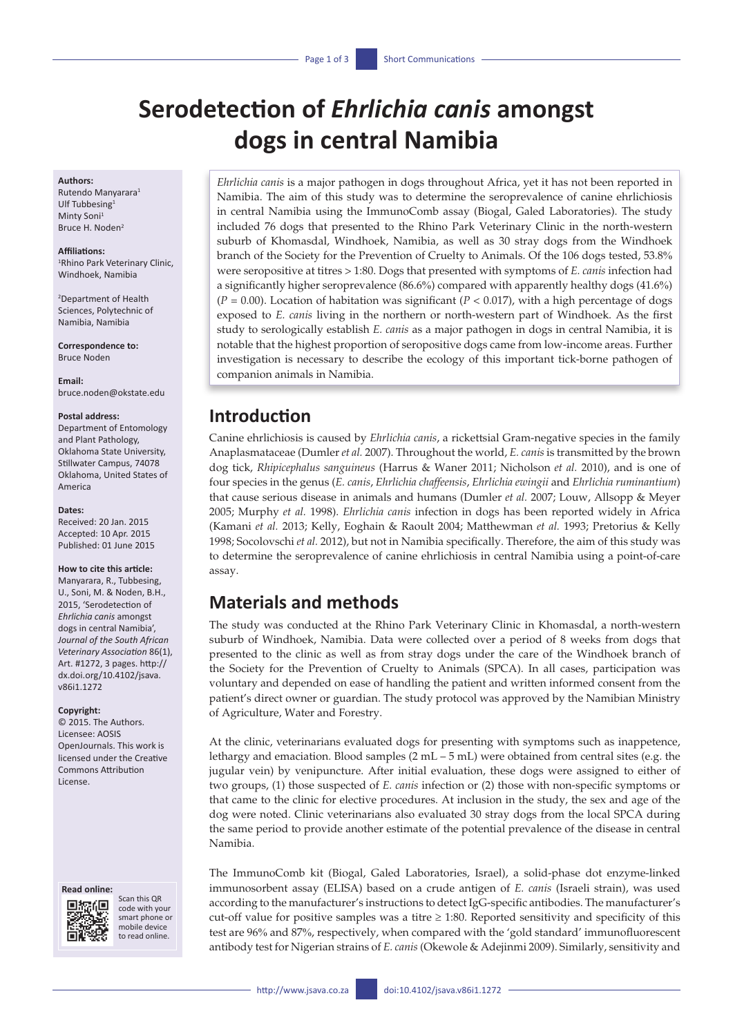# **Serodetection of** *Ehrlichia canis* **amongst dogs in central Namibia**

#### **Authors:**

Rutendo Manyarara<sup>1</sup> Ulf Tubbesing<sup>1</sup> Minty Soni<sup>1</sup> Bruce H. Noden<sup>2</sup>

#### **Affiliations:**

1 Rhino Park Veterinary Clinic, Windhoek, Namibia

2 Department of Health Sciences, Polytechnic of Namibia, Namibia

**Correspondence to:** Bruce Noden

**Email:** [bruce.noden@okstate.edu](mailto:bruce.noden@okstate.edu)

#### **Postal address:**

Department of Entomology and Plant Pathology, Oklahoma State University, Stillwater Campus, 74078 Oklahoma, United States of America

#### **Dates:**

Received: 20 Jan. 2015 Accepted: 10 Apr. 2015 Published: 01 June 2015

#### **How to cite this article:**

Manyarara, R., Tubbesing, U., Soni, M. & Noden, B.H., 2015, 'Serodetection of *Ehrlichia canis* amongst dogs in central Namibia', *Journal of the South African Veterinary Association* 86(1), Art. #1272, 3 pages. [http://](http://dx.doi.org/10.4102/jsava.v86i1.1272) [dx.doi.org/10.4102/jsava.](http://dx.doi.org/10.4102/jsava.v86i1.1272) [v86i1.1272](http://dx.doi.org/10.4102/jsava.v86i1.1272)

#### **Copyright:**

© 2015. The Authors. Licensee: AOSIS OpenJournals. This work is licensed under the Creative Commons Attribution License.

#### **Read online:**



Scan this QR code with your smart phone or mobile device to read online.

*Ehrlichia canis* is a major pathogen in dogs throughout Africa, yet it has not been reported in Namibia. The aim of this study was to determine the seroprevalence of canine ehrlichiosis in central Namibia using the ImmunoComb assay (Biogal, Galed Laboratories). The study included 76 dogs that presented to the Rhino Park Veterinary Clinic in the north-western suburb of Khomasdal, Windhoek, Namibia, as well as 30 stray dogs from the Windhoek branch of the Society for the Prevention of Cruelty to Animals. Of the 106 dogs tested, 53.8% were seropositive at titres > 1:80. Dogs that presented with symptoms of *E. canis* infection had a significantly higher seroprevalence (86.6%) compared with apparently healthy dogs (41.6%)  $(P = 0.00)$ . Location of habitation was significant  $(P < 0.017)$ , with a high percentage of dogs exposed to *E. canis* living in the northern or north-western part of Windhoek. As the first study to serologically establish *E. canis* as a major pathogen in dogs in central Namibia, it is notable that the highest proportion of seropositive dogs came from low-income areas. Further investigation is necessary to describe the ecology of this important tick-borne pathogen of companion animals in Namibia.

### **Introduction**

Canine ehrlichiosis is caused by *Ehrlichia canis*, a rickettsial Gram-negative species in the family Anaplasmataceae (Dumler *et al.* 2007). Throughout the world, *E. canis* is transmitted by the brown dog tick, *Rhipicephalus sanguineus* (Harrus & Waner 2011; Nicholson *et al.* 2010), and is one of four species in the genus (*E. canis*, *Ehrlichia chaffeensis*, *Ehrlichia ewingii* and *Ehrlichia ruminantium*) that cause serious disease in animals and humans (Dumler *et al.* 2007; Louw, Allsopp & Meyer 2005; Murphy *et al.* 1998). *Ehrlichia canis* infection in dogs has been reported widely in Africa (Kamani *et al.* 2013; Kelly, Eoghain & Raoult 2004; Matthewman *et al.* 1993; Pretorius & Kelly 1998; Socolovschi *et al.* 2012), but not in Namibia specifically. Therefore, the aim of this study was to determine the seroprevalence of canine ehrlichiosis in central Namibia using a point-of-care assay.

# **Materials and methods**

The study was conducted at the Rhino Park Veterinary Clinic in Khomasdal, a north-western suburb of Windhoek, Namibia. Data were collected over a period of 8 weeks from dogs that presented to the clinic as well as from stray dogs under the care of the Windhoek branch of the Society for the Prevention of Cruelty to Animals (SPCA). In all cases, participation was voluntary and depended on ease of handling the patient and written informed consent from the patient's direct owner or guardian. The study protocol was approved by the Namibian Ministry of Agriculture, Water and Forestry.

At the clinic, veterinarians evaluated dogs for presenting with symptoms such as inappetence, lethargy and emaciation. Blood samples  $(2 \text{ mL} - 5 \text{ mL})$  were obtained from central sites (e.g. the jugular vein) by venipuncture. After initial evaluation, these dogs were assigned to either of two groups, (1) those suspected of *E. canis* infection or (2) those with non-specific symptoms or that came to the clinic for elective procedures. At inclusion in the study, the sex and age of the dog were noted. Clinic veterinarians also evaluated 30 stray dogs from the local SPCA during the same period to provide another estimate of the potential prevalence of the disease in central Namibia.

The ImmunoComb kit (Biogal, Galed Laboratories, Israel), a solid-phase dot enzyme-linked immunosorbent assay (ELISA) based on a crude antigen of *E. canis* (Israeli strain), was used according to the manufacturer's instructions to detect IgG-specific antibodies. The manufacturer's cut-off value for positive samples was a titre  $\geq$  1:80. Reported sensitivity and specificity of this test are 96% and 87%, respectively, when compared with the 'gold standard' immunofluorescent antibody test for Nigerian strains of *E. canis* (Okewole & Adejinmi 2009). Similarly, sensitivity and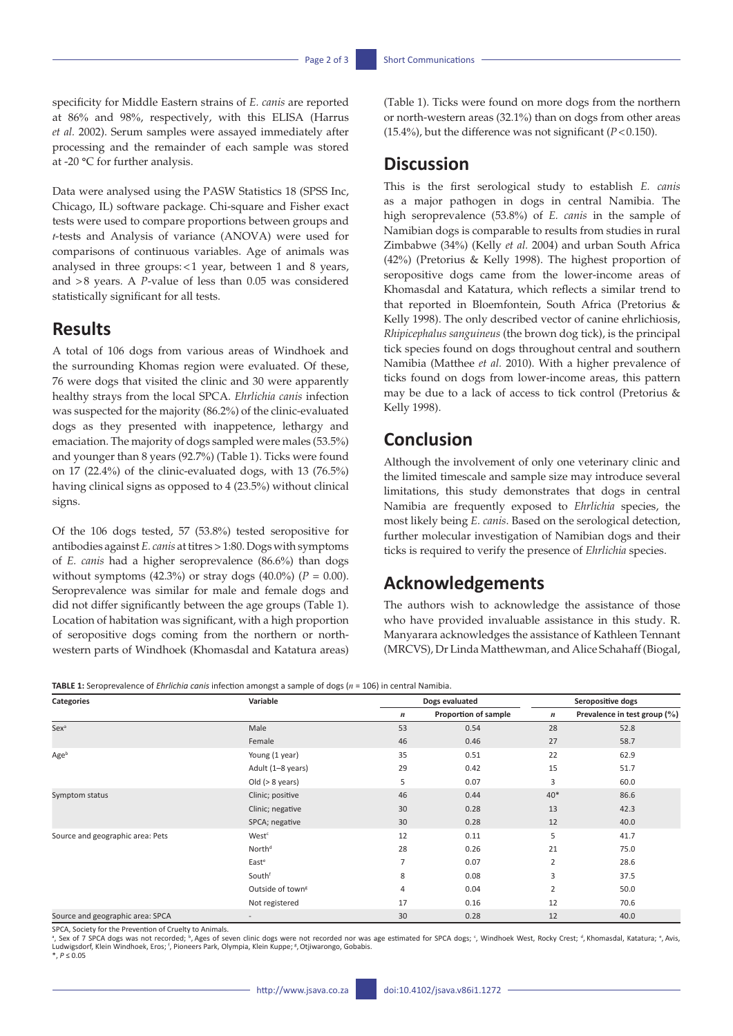specificity for Middle Eastern strains of *E. canis* are reported at 86% and 98%, respectively, with this ELISA (Harrus *et al.* 2002). Serum samples were assayed immediately after processing and the remainder of each sample was stored at -20 **°**C for further analysis.

Data were analysed using the PASW Statistics 18 (SPSS Inc, Chicago, IL) software package. Chi-square and Fisher exact tests were used to compare proportions between groups and *t*-tests and Analysis of variance (ANOVA) were used for comparisons of continuous variables. Age of animals was analysed in three groups:<1 year, between 1 and 8 years, and >8 years. A *P*-value of less than 0.05 was considered statistically significant for all tests.

### **Results**

A total of 106 dogs from various areas of Windhoek and the surrounding Khomas region were evaluated. Of these, 76 were dogs that visited the clinic and 30 were apparently healthy strays from the local SPCA. *Ehrlichia canis* infection was suspected for the majority (86.2%) of the clinic-evaluated dogs as they presented with inappetence, lethargy and emaciation. The majority of dogs sampled were males (53.5%) and younger than 8 years (92.7%) (Table 1). Ticks were found on 17 (22.4%) of the clinic-evaluated dogs, with 13 (76.5%) having clinical signs as opposed to 4 (23.5%) without clinical signs.

Of the 106 dogs tested, 57 (53.8%) tested seropositive for antibodies against *E. canis* at titres > 1:80. Dogs with symptoms of *E. canis* had a higher seroprevalence (86.6%) than dogs without symptoms  $(42.3%)$  or stray dogs  $(40.0%)$   $(P = 0.00)$ . Seroprevalence was similar for male and female dogs and did not differ significantly between the age groups (Table 1). Location of habitation was significant, with a high proportion of seropositive dogs coming from the northern or northwestern parts of Windhoek (Khomasdal and Katatura areas) (Table 1). Ticks were found on more dogs from the northern or north-western areas (32.1%) than on dogs from other areas (15.4%), but the difference was not significant  $(P<0.150)$ .

### **Discussion**

This is the first serological study to establish *E. canis* as a major pathogen in dogs in central Namibia. The high seroprevalence (53.8%) of *E. canis* in the sample of Namibian dogs is comparable to results from studies in rural Zimbabwe (34%) (Kelly *et al.* 2004) and urban South Africa (42%) (Pretorius & Kelly 1998). The highest proportion of seropositive dogs came from the lower-income areas of Khomasdal and Katatura, which reflects a similar trend to that reported in Bloemfontein, South Africa (Pretorius & Kelly 1998). The only described vector of canine ehrlichiosis, *Rhipicephalus sanguineus* (the brown dog tick), is the principal tick species found on dogs throughout central and southern Namibia (Matthee *et al.* 2010). With a higher prevalence of ticks found on dogs from lower-income areas, this pattern may be due to a lack of access to tick control (Pretorius & Kelly 1998).

### **Conclusion**

Although the involvement of only one veterinary clinic and the limited timescale and sample size may introduce several limitations, this study demonstrates that dogs in central Namibia are frequently exposed to *Ehrlichia* species, the most likely being *E. canis*. Based on the serological detection, further molecular investigation of Namibian dogs and their ticks is required to verify the presence of *Ehrlichia* species.

# **Acknowledgements**

The authors wish to acknowledge the assistance of those who have provided invaluable assistance in this study. R. Manyarara acknowledges the assistance of Kathleen Tennant (MRCVS), Dr Linda Matthewman, and Alice Schahaff (Biogal,

**TABLE 1:** Seroprevalence of *Ehrlichia canis* infection amongst a sample of dogs (*n* = 106) in central Namibia.

| Categories                       | Variable                     | Dogs evaluated   |                      | Seropositive dogs |                              |
|----------------------------------|------------------------------|------------------|----------------------|-------------------|------------------------------|
|                                  |                              | $\boldsymbol{n}$ | Proportion of sample | $\boldsymbol{n}$  | Prevalence in test group (%) |
| Sex <sup>a</sup>                 | Male                         | 53               | 0.54                 | 28                | 52.8                         |
|                                  | Female                       | 46               | 0.46                 | 27                | 58.7                         |
| Ageb                             | Young (1 year)               | 35               | 0.51                 | 22                | 62.9                         |
|                                  | Adult (1-8 years)            | 29               | 0.42                 | 15                | 51.7                         |
|                                  | Old $(> 8 \text{ years})$    | 5                | 0.07                 | 3                 | 60.0                         |
| Symptom status                   | Clinic; positive             | 46               | 0.44                 | $40*$             | 86.6                         |
|                                  | Clinic; negative             | 30               | 0.28                 | 13                | 42.3                         |
|                                  | SPCA; negative               | 30               | 0.28                 | 12                | 40.0                         |
| Source and geographic area: Pets | West <sup>c</sup>            | 12               | 0.11                 | 5                 | 41.7                         |
|                                  | North <sup>d</sup>           | 28               | 0.26                 | 21                | 75.0                         |
|                                  | Easte                        | $\overline{7}$   | 0.07                 | $\overline{2}$    | 28.6                         |
|                                  | Southf                       | 8                | 0.08                 | 3                 | 37.5                         |
|                                  | Outside of town <sup>g</sup> | 4                | 0.04                 | $\overline{2}$    | 50.0                         |
|                                  | Not registered               | 17               | 0.16                 | 12                | 70.6                         |
| Source and geographic area: SPCA |                              | 30               | 0.28                 | 12                | 40.0                         |

SPCA, Society for the Prevention of Cruelty to Animals.

<sup>a</sup>, Sex of 7 SPCA dogs was not recorded; <sup>b</sup>, Ages of seven clinic dogs were not recorded nor was age estimated for SPCA dogs; ʿ, Windhoek West, Rocky Crest; <sup>d</sup>, Khomasdal, Katatura; ˚, Avis,<br>Ludwigsdorf, Klein Windhoek, \*, *P* ≤ 0.05